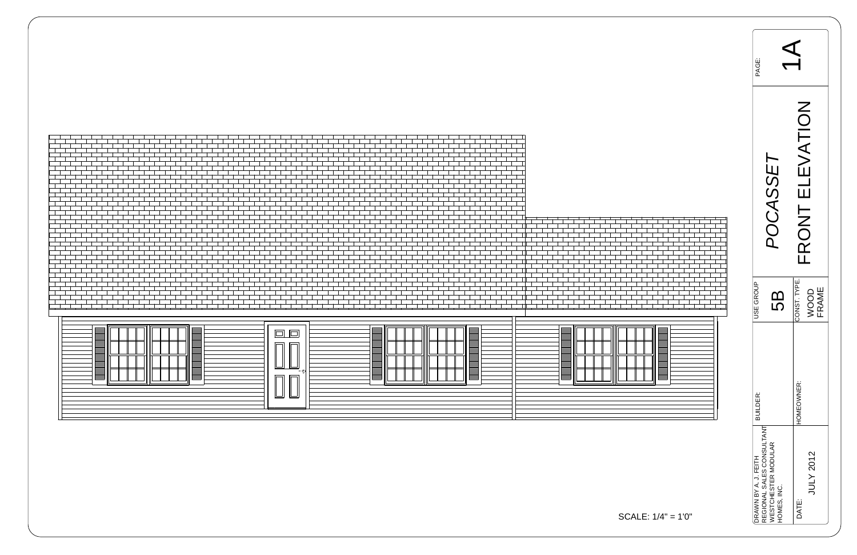



| EAGE:                                                                                                 |                 |                                                         |                      |  |  |  |
|-------------------------------------------------------------------------------------------------------|-----------------|---------------------------------------------------------|----------------------|--|--|--|
|                                                                                                       | <b>POCASSET</b> | LEVATION<br>$\overline{\overline{\mathsf{u}}}$<br>FRONT |                      |  |  |  |
| USE GROUP                                                                                             | က<br>လ          | CONST. TYPE.                                            | <b>FRAME</b><br>VOOD |  |  |  |
| <b>BUILDER:</b>                                                                                       |                 | HOMEOWNER:                                              |                      |  |  |  |
| REGIONAL SALES CONSULTANT<br><b><i>NESTCHESTER MODULAR</i></b><br>DRAWN BY A. J. FEITH<br>HOMES, INC. |                 | DATE:                                                   | JULY 2012            |  |  |  |



SCALE: 1/4" = 1'0"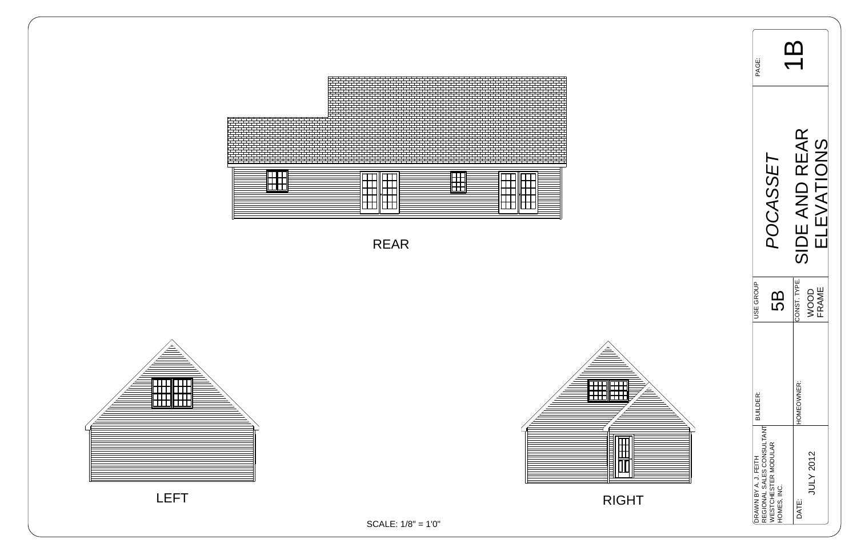| <b>PAGE:</b>                                      |                                                  |                               |
|---------------------------------------------------|--------------------------------------------------|-------------------------------|
|                                                   | <b>POCASSET</b>                                  | SIDE AND REAR<br>CINUNTA      |
| JSE GROUP                                         | 5                                                | CONST. TYPE.<br>FRAME<br>door |
| <b>BUILDER:</b>                                   |                                                  | HOMEOWNER:                    |
| REGIONAL SALES CONSULTANT<br>DRAWN BY A. J. FEITH | <b><i>NESTCHESTER MODULAR</i></b><br>HOMES, INC. | JULY 2012<br>DATE:            |





RIGHT



REAR

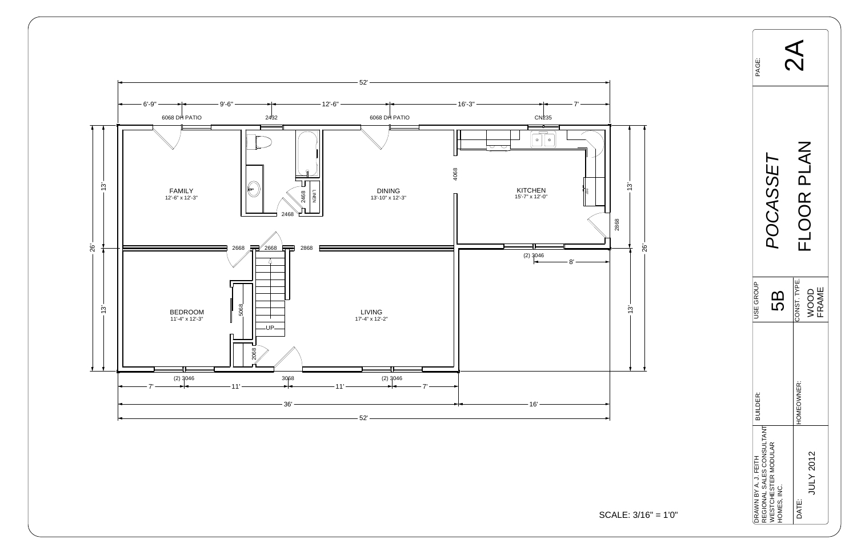

| <b>AS</b><br>PAGE:                                                                      |                               |  |
|-----------------------------------------------------------------------------------------|-------------------------------|--|
| POCASSET                                                                                | FLOOR PLAN                    |  |
| USE GROUP<br>5B                                                                         | CONST. TYPE.<br>WOOD<br>FRAME |  |
| BUILDER:                                                                                | HOMEOWNER:                    |  |
| DRAWN BY A. J. FEITH<br>REGIONAL SALES CONSULTANT<br>WESTCHESTER MODULAR<br>HOMES, INC. | <b>JULY 2012</b><br>DATE:     |  |